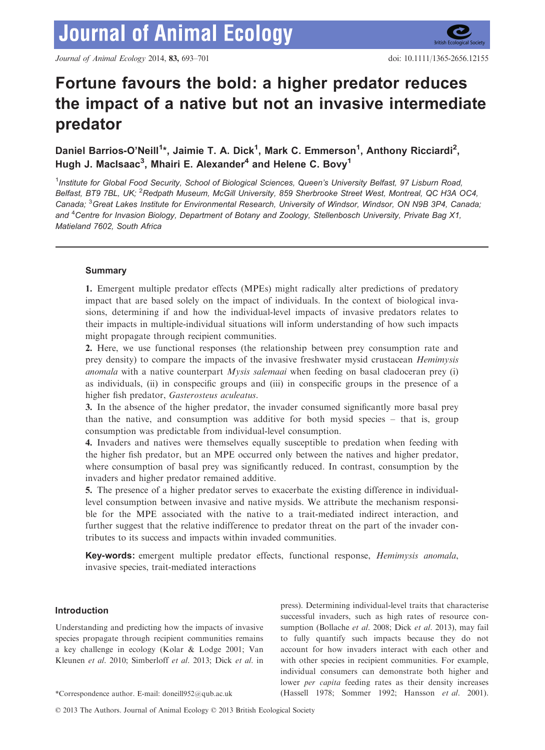# Fortune favours the bold: a higher predator reduces the impact of a native but not an invasive intermediate predator

Daniel Barrios-O'Neill<sup>1\*</sup>, Jaimie T. A. Dick<sup>1</sup>, Mark C. Emmerson<sup>1</sup>, Anthony Ricciardi<sup>2</sup>, Hugh J. MacIsaac $^3$ , Mhairi E. Alexander $^4$  and Helene C. Bovy $^1$ 

<sup>1</sup>Institute for Global Food Security, School of Biological Sciences, Queen's University Belfast, 97 Lisburn Road, Belfast, BT9 7BL, UK; <sup>2</sup>Redpath Museum, McGill University, 859 Sherbrooke Street West, Montreal, QC H3A OC4, Canada; <sup>3</sup> Great Lakes Institute for Environmental Research, University of Windsor, Windsor, ON N9B 3P4, Canada; and <sup>4</sup>Centre for Invasion Biology, Department of Botany and Zoology, Stellenbosch University, Private Bag X1, Matieland 7602, South Africa

# Summary

1. Emergent multiple predator effects (MPEs) might radically alter predictions of predatory impact that are based solely on the impact of individuals. In the context of biological invasions, determining if and how the individual-level impacts of invasive predators relates to their impacts in multiple-individual situations will inform understanding of how such impacts might propagate through recipient communities.

2. Here, we use functional responses (the relationship between prey consumption rate and prey density) to compare the impacts of the invasive freshwater mysid crustacean Hemimysis *anomala* with a native counterpart *Mysis salemaai* when feeding on basal cladoceran prey (i) as individuals, (ii) in conspecific groups and (iii) in conspecific groups in the presence of a higher fish predator, Gasterosteus aculeatus.

3. In the absence of the higher predator, the invader consumed significantly more basal prey than the native, and consumption was additive for both mysid species – that is, group consumption was predictable from individual-level consumption.

4. Invaders and natives were themselves equally susceptible to predation when feeding with the higher fish predator, but an MPE occurred only between the natives and higher predator, where consumption of basal prey was significantly reduced. In contrast, consumption by the invaders and higher predator remained additive.

5. The presence of a higher predator serves to exacerbate the existing difference in individuallevel consumption between invasive and native mysids. We attribute the mechanism responsible for the MPE associated with the native to a trait-mediated indirect interaction, and further suggest that the relative indifference to predator threat on the part of the invader contributes to its success and impacts within invaded communities.

Key-words: emergent multiple predator effects, functional response, Hemimysis anomala, invasive species, trait-mediated interactions

# Introduction

Understanding and predicting how the impacts of invasive species propagate through recipient communities remains a key challenge in ecology (Kolar & Lodge 2001; Van Kleunen et al. 2010; Simberloff et al. 2013; Dick et al. in

press). Determining individual-level traits that characterise successful invaders, such as high rates of resource consumption (Bollache et al. 2008; Dick et al. 2013), may fail to fully quantify such impacts because they do not account for how invaders interact with each other and with other species in recipient communities. For example, individual consumers can demonstrate both higher and lower per capita feeding rates as their density increases \*Correspondence author. E-mail: doneill952@qub.ac.uk (Hassell 1978; Sommer 1992; Hansson et al. 2001).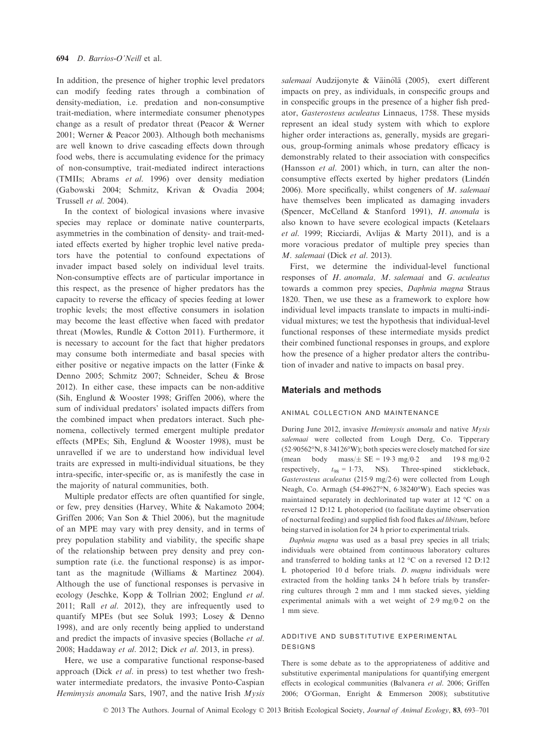In addition, the presence of higher trophic level predators can modify feeding rates through a combination of density-mediation, i.e. predation and non-consumptive trait-mediation, where intermediate consumer phenotypes change as a result of predator threat (Peacor & Werner 2001; Werner & Peacor 2003). Although both mechanisms are well known to drive cascading effects down through food webs, there is accumulating evidence for the primacy of non-consumptive, trait-mediated indirect interactions (TMIIs; Abrams et al. 1996) over density mediation (Gabowski 2004; Schmitz, Krivan & Ovadia 2004; Trussell et al. 2004).

In the context of biological invasions where invasive species may replace or dominate native counterparts, asymmetries in the combination of density- and trait-mediated effects exerted by higher trophic level native predators have the potential to confound expectations of invader impact based solely on individual level traits. Non-consumptive effects are of particular importance in this respect, as the presence of higher predators has the capacity to reverse the efficacy of species feeding at lower trophic levels; the most effective consumers in isolation may become the least effective when faced with predator threat (Mowles, Rundle & Cotton 2011). Furthermore, it is necessary to account for the fact that higher predators may consume both intermediate and basal species with either positive or negative impacts on the latter (Finke & Denno 2005; Schmitz 2007; Schneider, Scheu & Brose 2012). In either case, these impacts can be non-additive (Sih, Englund & Wooster 1998; Griffen 2006), where the sum of individual predators' isolated impacts differs from the combined impact when predators interact. Such phenomena, collectively termed emergent multiple predator effects (MPEs; Sih, Englund & Wooster 1998), must be unravelled if we are to understand how individual level traits are expressed in multi-individual situations, be they intra-specific, inter-specific or, as is manifestly the case in the majority of natural communities, both.

Multiple predator effects are often quantified for single, or few, prey densities (Harvey, White & Nakamoto 2004; Griffen 2006; Van Son & Thiel 2006), but the magnitude of an MPE may vary with prey density, and in terms of prey population stability and viability, the specific shape of the relationship between prey density and prey consumption rate (i.e. the functional response) is as important as the magnitude (Williams & Martinez 2004). Although the use of functional responses is pervasive in ecology (Jeschke, Kopp & Tollrian 2002; Englund et al. 2011; Rall et al. 2012), they are infrequently used to quantify MPEs (but see Soluk 1993; Losey & Denno 1998), and are only recently being applied to understand and predict the impacts of invasive species (Bollache et al. 2008; Haddaway et al. 2012; Dick et al. 2013, in press).

Here, we use a comparative functional response-based approach (Dick et al. in press) to test whether two freshwater intermediate predators, the invasive Ponto-Caspian Hemimysis anomala Sars, 1907, and the native Irish  $Mysis$  salemaai Audzijonyte & Väinölä (2005), exert different impacts on prey, as individuals, in conspecific groups and in conspecific groups in the presence of a higher fish predator, Gasterosteus aculeatus Linnaeus, 1758. These mysids represent an ideal study system with which to explore higher order interactions as, generally, mysids are gregarious, group-forming animals whose predatory efficacy is demonstrably related to their association with conspecifics (Hansson et al. 2001) which, in turn, can alter the nonconsumptive effects exerted by higher predators (Lindén 2006). More specifically, whilst congeners of M. salemaai have themselves been implicated as damaging invaders (Spencer, McCelland & Stanford 1991), H. anomala is also known to have severe ecological impacts (Ketelaars et al. 1999; Ricciardi, Avlijas & Marty 2011), and is a more voracious predator of multiple prey species than M. salemaai (Dick et al. 2013).

First, we determine the individual-level functional responses of H. anomala, M. salemaai and G. aculeatus towards a common prey species, Daphnia magna Straus 1820. Then, we use these as a framework to explore how individual level impacts translate to impacts in multi-individual mixtures; we test the hypothesis that individual-level functional responses of these intermediate mysids predict their combined functional responses in groups, and explore how the presence of a higher predator alters the contribution of invader and native to impacts on basal prey.

## Materials and methods

#### animal collection and maintenance

During June 2012, invasive Hemimysis anomala and native Mysis salemaai were collected from Lough Derg, Co. Tipperary (5290562°N, 834126°W); both species were closely matched for size (mean body mass/ $\pm$  SE = 19.3 mg/0.2 and 19.8 mg/0.2 respectively.  $t_{.} = 1.73$ . NS). Three-spined stickleback. respectively,  $t_{98} = 1.73$ , NS). Three-spined Gasterosteus aculeatus (2159 mg/26) were collected from Lough Neagh, Co. Armagh (5449627°N, 638240°W). Each species was maintained separately in dechlorinated tap water at 12 °C on a reversed 12 D:12 L photoperiod (to facilitate daytime observation of nocturnal feeding) and supplied fish food flakes ad libitum, before being starved in isolation for 24 h prior to experimental trials.

Daphnia magna was used as a basal prey species in all trials; individuals were obtained from continuous laboratory cultures and transferred to holding tanks at 12 °C on a reversed 12 D:12 L photoperiod 10 d before trials. D. magna individuals were extracted from the holding tanks 24 h before trials by transferring cultures through 2 mm and 1 mm stacked sieves, yielding experimental animals with a wet weight of 29 mg/02 on the 1 mm sieve.

## additive and substitutive experimental designs

There is some debate as to the appropriateness of additive and substitutive experimental manipulations for quantifying emergent effects in ecological communities (Balvanera et al. 2006; Griffen 2006; O'Gorman, Enright & Emmerson 2008); substitutive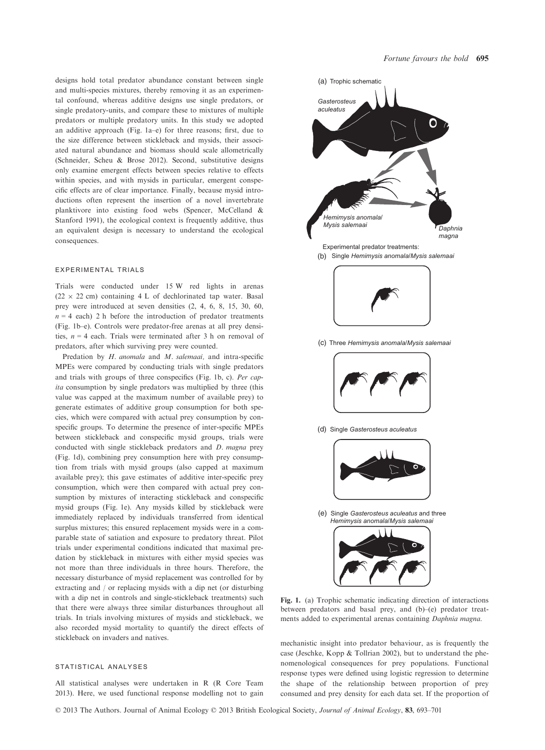designs hold total predator abundance constant between single and multi-species mixtures, thereby removing it as an experimental confound, whereas additive designs use single predators, or single predatory-units, and compare these to mixtures of multiple predators or multiple predatory units. In this study we adopted an additive approach (Fig. 1a–e) for three reasons; first, due to the size difference between stickleback and mysids, their associated natural abundance and biomass should scale allometrically (Schneider, Scheu & Brose 2012). Second, substitutive designs only examine emergent effects between species relative to effects within species, and with mysids in particular, emergent conspecific effects are of clear importance. Finally, because mysid introductions often represent the insertion of a novel invertebrate planktivore into existing food webs (Spencer, McCelland & Stanford 1991), the ecological context is frequently additive, thus an equivalent design is necessary to understand the ecological consequences.

#### experimental trials

Trials were conducted under 15 W red lights in arenas  $(22 \times 22 \text{ cm})$  containing 4 L of dechlorinated tap water. Basal prey were introduced at seven densities (2, 4, 6, 8, 15, 30, 60,  $n = 4$  each) 2 h before the introduction of predator treatments (Fig. 1b–e). Controls were predator-free arenas at all prey densities,  $n = 4$  each. Trials were terminated after 3 h on removal of predators, after which surviving prey were counted.

Predation by H. anomala and M. salemaai, and intra-specific MPEs were compared by conducting trials with single predators and trials with groups of three conspecifics (Fig. 1b, c). Per capita consumption by single predators was multiplied by three (this value was capped at the maximum number of available prey) to generate estimates of additive group consumption for both species, which were compared with actual prey consumption by conspecific groups. To determine the presence of inter-specific MPEs between stickleback and conspecific mysid groups, trials were conducted with single stickleback predators and D. magna prey (Fig. 1d), combining prey consumption here with prey consumption from trials with mysid groups (also capped at maximum available prey); this gave estimates of additive inter-specific prey consumption, which were then compared with actual prey consumption by mixtures of interacting stickleback and conspecific mysid groups (Fig. 1e). Any mysids killed by stickleback were immediately replaced by individuals transferred from identical surplus mixtures; this ensured replacement mysids were in a comparable state of satiation and exposure to predatory threat. Pilot trials under experimental conditions indicated that maximal predation by stickleback in mixtures with either mysid species was not more than three individuals in three hours. Therefore, the necessary disturbance of mysid replacement was controlled for by extracting and / or replacing mysids with a dip net (or disturbing with a dip net in controls and single-stickleback treatments) such that there were always three similar disturbances throughout all trials. In trials involving mixtures of mysids and stickleback, we also recorded mysid mortality to quantify the direct effects of stickleback on invaders and natives.

#### statistical analyses

All statistical analyses were undertaken in R (R Core Team 2013). Here, we used functional response modelling not to gain





(d) Single *Gasterosteus aculeatus* 



Single *Gasterosteus aculeatus* and three (e) *Hemimysis anomala*/*Mysis salemaai*



Fig. 1. (a) Trophic schematic indicating direction of interactions between predators and basal prey, and (b)–(e) predator treatments added to experimental arenas containing Daphnia magna.

mechanistic insight into predator behaviour, as is frequently the case (Jeschke, Kopp & Tollrian 2002), but to understand the phenomenological consequences for prey populations. Functional response types were defined using logistic regression to determine the shape of the relationship between proportion of prey consumed and prey density for each data set. If the proportion of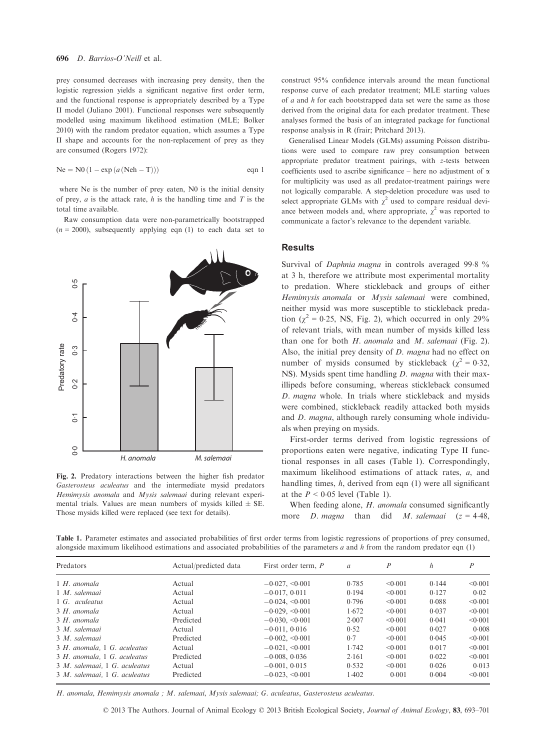prey consumed decreases with increasing prey density, then the logistic regression yields a significant negative first order term, and the functional response is appropriately described by a Type II model (Juliano 2001). Functional responses were subsequently modelled using maximum likelihood estimation (MLE; Bolker 2010) with the random predator equation, which assumes a Type II shape and accounts for the non-replacement of prey as they are consumed (Rogers 1972):

$$
Ne = N0 (1 - \exp(a(Neh - T)))
$$
eqn 1

where Ne is the number of prey eaten, N0 is the initial density of prey,  $a$  is the attack rate,  $h$  is the handling time and  $T$  is the total time available.

Raw consumption data were non-parametrically bootstrapped  $(n = 2000)$ , subsequently applying eqn (1) to each data set to



Fig. 2. Predatory interactions between the higher fish predator Gasterosteus aculeatus and the intermediate mysid predators Hemimysis anomala and Mysis salemaai during relevant experimental trials. Values are mean numbers of mysids killed  $\pm$  SE. Those mysids killed were replaced (see text for details).

construct 95% confidence intervals around the mean functional response curve of each predator treatment; MLE starting values of  $a$  and  $h$  for each bootstrapped data set were the same as those derived from the original data for each predator treatment. These analyses formed the basis of an integrated package for functional response analysis in R (frair; Pritchard 2013).

Generalised Linear Models (GLMs) assuming Poisson distributions were used to compare raw prey consumption between appropriate predator treatment pairings, with z-tests between coefficients used to ascribe significance – here no adjustment of  $\alpha$ for multiplicity was used as all predator-treatment pairings were not logically comparable. A step-deletion procedure was used to select appropriate GLMs with  $\chi^2$  used to compare residual deviance between models and, where appropriate,  $\chi^2$  was reported to communicate a factor's relevance to the dependent variable.

#### **Results**

Survival of *Daphnia magna* in controls averaged 99.8 % at 3 h, therefore we attribute most experimental mortality to predation. Where stickleback and groups of either Hemimysis anomala or Mysis salemaai were combined, neither mysid was more susceptible to stickleback predation ( $\chi^2$  = 0.25, NS, Fig. 2), which occurred in only 29% of relevant trials, with mean number of mysids killed less than one for both  $H$ . anomala and  $M$ . salemaai (Fig. 2). Also, the initial prey density of D. magna had no effect on number of mysids consumed by stickleback ( $\chi^2 = 0.32$ , NS). Mysids spent time handling *D. magna* with their maxillipeds before consuming, whereas stickleback consumed D. magna whole. In trials where stickleback and mysids were combined, stickleback readily attacked both mysids and D. magna, although rarely consuming whole individuals when preying on mysids.

First-order terms derived from logistic regressions of proportions eaten were negative, indicating Type II functional responses in all cases (Table 1). Correspondingly, maximum likelihood estimations of attack rates, a, and handling times, h, derived from eqn (1) were all significant at the  $P < 0.05$  level (Table 1).

When feeding alone, *H. anomala* consumed significantly more *D. magna* than did *M. salemaai*  $(z = 4.48$ ,

Table 1. Parameter estimates and associated probabilities of first order terms from logistic regressions of proportions of prey consumed, alongside maximum likelihood estimations and associated probabilities of the parameters  $a$  and  $h$  from the random predator eqn (1)

| Predators                     | Actual/predicted data | First order term, P  | $\alpha$ | P            | h     | $\overline{P}$ |
|-------------------------------|-----------------------|----------------------|----------|--------------|-------|----------------|
| $1H.$ anomala                 | Actual                | $-0.027, \leq 0.001$ | 0.785    | < 0.001      | 0.144 | < 0.001        |
| 1 M. salemaai                 | Actual                | $-0.017, 0.011$      | 0.194    | < 0.001      | 0.127 | 0.02           |
| 1 G. aculeatus                | Actual                | $-0.024, \leq 0.001$ | 0.796    | < 0.001      | 0.088 | < 0.001        |
| 3 H. anomala                  | Actual                | $-0.029, \leq 0.001$ | 1.672    | < 0.001      | 0.037 | < 0.001        |
| 3 H. anomala                  | Predicted             | $-0.030, \le 0.001$  | 2.007    | < 0.001      | 0.041 | < 0.001        |
| 3 M. salemaai                 | Actual                | $-0.011, 0.016$      | 0.52     | < 0.001      | 0.027 | 0.008          |
| 3 M. salemaai                 | Predicted             | $-0.002, \leq 0.001$ | 0.7      | $\leq 0.001$ | 0.045 | < 0.001        |
| 3 H. anomala, 1 G. aculeatus  | Actual                | $-0.021, \leq 0.001$ | 1.742    | < 0.001      | 0.017 | < 0.001        |
| 3 H. anomala, 1 G. aculeatus  | Predicted             | $-0.008, 0.036$      | 2.161    | < 0.001      | 0.022 | < 0.001        |
| 3 M. salemaai, 1 G. aculeatus | Actual                | $-0.001, 0.015$      | 0.532    | $\leq 0.001$ | 0.026 | 0.013          |
| 3 M. salemaai, 1 G. aculeatus | Predicted             | $-0.023, \leq 0.001$ | 1.402    | 0.001        | 0.004 | < 0.001        |

H. anomala, Hemimysis anomala ; M. salemaai, Mysis salemaai; G. aculeatus, Gasterosteus aculeatus.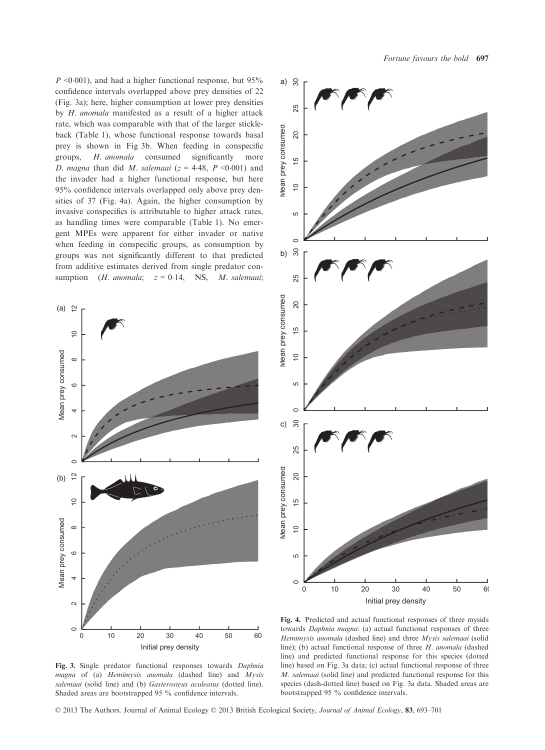$P \leq 0.001$ , and had a higher functional response, but 95% confidence intervals overlapped above prey densities of 22 (Fig. 3a); here, higher consumption at lower prey densities by H. anomala manifested as a result of a higher attack rate, which was comparable with that of the larger stickleback (Table 1), whose functional response towards basal prey is shown in Fig 3b. When feeding in conspecific groups, H. anomala consumed significantly more D. magna than did M. salemaai ( $z = 4.48$ ,  $P < 0.001$ ) and the invader had a higher functional response, but here 95% confidence intervals overlapped only above prey densities of 37 (Fig. 4a). Again, the higher consumption by invasive conspecifics is attributable to higher attack rates, as handling times were comparable (Table 1). No emergent MPEs were apparent for either invader or native when feeding in conspecific groups, as consumption by groups was not significantly different to that predicted from additive estimates derived from single predator consumption (*H. anomala*;  $z = 0.14$ , NS, *M. salemaai*;

a)





Fig. 3. Single predator functional responses towards Daphnia magna of (a) Hemimysis anomala (dashed line) and Mysis salemaai (solid line) and (b) Gasterosteus aculeatus (dotted line). Shaded areas are bootstrapped 95 % confidence intervals.

Fig. 4. Predicted and actual functional responses of three mysids towards Daphnia magna: (a) actual functional responses of three Hemimysis anomala (dashed line) and three Mysis salemaai (solid line); (b) actual functional response of three H. anomala (dashed line) and predicted functional response for this species (dotted line) based on Fig. 3a data; (c) actual functional response of three M. salemaai (solid line) and predicted functional response for this species (dash-dotted line) based on Fig. 3a data. Shaded areas are bootstrapped 95 % confidence intervals.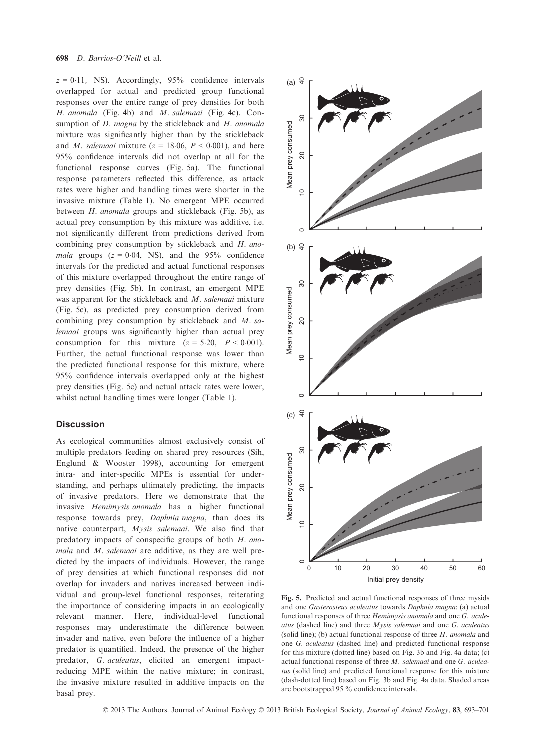$z = 0.11$ , NS). Accordingly, 95% confidence intervals overlapped for actual and predicted group functional responses over the entire range of prey densities for both H. anomala (Fig. 4b) and M. salemaai (Fig. 4c). Consumption of *D. magna* by the stickleback and *H. anomala* mixture was significantly higher than by the stickleback and *M. salemaai* mixture ( $z = 18.06$ ,  $P < 0.001$ ), and here 95% confidence intervals did not overlap at all for the functional response curves (Fig. 5a). The functional response parameters reflected this difference, as attack rates were higher and handling times were shorter in the invasive mixture (Table 1). No emergent MPE occurred between H. anomala groups and stickleback (Fig. 5b), as actual prey consumption by this mixture was additive, i.e. not significantly different from predictions derived from combining prey consumption by stickleback and H. anomala groups  $(z = 0.04, NS)$ , and the 95% confidence intervals for the predicted and actual functional responses of this mixture overlapped throughout the entire range of prey densities (Fig. 5b). In contrast, an emergent MPE was apparent for the stickleback and M. salemaai mixture (Fig. 5c), as predicted prey consumption derived from combining prey consumption by stickleback and M. salemaai groups was significantly higher than actual prey consumption for this mixture  $(z = 5.20, P < 0.001)$ . Further, the actual functional response was lower than the predicted functional response for this mixture, where 95% confidence intervals overlapped only at the highest prey densities (Fig. 5c) and actual attack rates were lower, whilst actual handling times were longer (Table 1).

## **Discussion**

As ecological communities almost exclusively consist of multiple predators feeding on shared prey resources (Sih, Englund & Wooster 1998), accounting for emergent intra- and inter-specific MPEs is essential for understanding, and perhaps ultimately predicting, the impacts of invasive predators. Here we demonstrate that the invasive Hemimysis anomala has a higher functional response towards prey, Daphnia magna, than does its native counterpart, Mysis salemaai. We also find that predatory impacts of conspecific groups of both H. anomala and M. salemaai are additive, as they are well predicted by the impacts of individuals. However, the range of prey densities at which functional responses did not overlap for invaders and natives increased between individual and group-level functional responses, reiterating the importance of considering impacts in an ecologically relevant manner. Here, individual-level functional responses may underestimate the difference between invader and native, even before the influence of a higher predator is quantified. Indeed, the presence of the higher predator, G. aculeatus, elicited an emergent impactreducing MPE within the native mixture; in contrast, the invasive mixture resulted in additive impacts on the basal prey.



Fig. 5. Predicted and actual functional responses of three mysids and one Gasterosteus aculeatus towards Daphnia magna: (a) actual functional responses of three Hemimysis anomala and one G. aculeatus (dashed line) and three  $M$ ysis salemaai and one  $G$ . aculeatus (solid line); (b) actual functional response of three  $H$ . *anomala* and one G. aculeatus (dashed line) and predicted functional response for this mixture (dotted line) based on Fig. 3b and Fig. 4a data; (c) actual functional response of three M. salemaai and one G. aculeatus (solid line) and predicted functional response for this mixture (dash-dotted line) based on Fig. 3b and Fig. 4a data. Shaded areas are bootstrapped 95 % confidence intervals.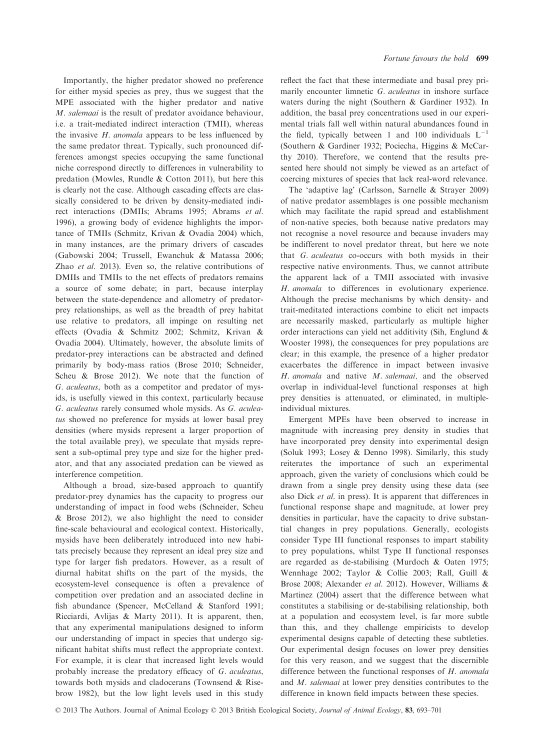Importantly, the higher predator showed no preference for either mysid species as prey, thus we suggest that the MPE associated with the higher predator and native M. salemaai is the result of predator avoidance behaviour, i.e. a trait-mediated indirect interaction (TMII), whereas the invasive H. anomala appears to be less influenced by the same predator threat. Typically, such pronounced differences amongst species occupying the same functional niche correspond directly to differences in vulnerability to predation (Mowles, Rundle & Cotton 2011), but here this is clearly not the case. Although cascading effects are classically considered to be driven by density-mediated indirect interactions (DMIIs; Abrams 1995; Abrams et al. 1996), a growing body of evidence highlights the importance of TMIIs (Schmitz, Krivan & Ovadia 2004) which, in many instances, are the primary drivers of cascades (Gabowski 2004; Trussell, Ewanchuk & Matassa 2006; Zhao et al. 2013). Even so, the relative contributions of DMIIs and TMIIs to the net effects of predators remains a source of some debate; in part, because interplay between the state-dependence and allometry of predatorprey relationships, as well as the breadth of prey habitat use relative to predators, all impinge on resulting net effects (Ovadia & Schmitz 2002; Schmitz, Krivan & Ovadia 2004). Ultimately, however, the absolute limits of predator-prey interactions can be abstracted and defined primarily by body-mass ratios (Brose 2010; Schneider, Scheu & Brose 2012). We note that the function of G. aculeatus, both as a competitor and predator of mysids, is usefully viewed in this context, particularly because G. aculeatus rarely consumed whole mysids. As G. aculeatus showed no preference for mysids at lower basal prey densities (where mysids represent a larger proportion of the total available prey), we speculate that mysids represent a sub-optimal prey type and size for the higher predator, and that any associated predation can be viewed as interference competition.

Although a broad, size-based approach to quantify predator-prey dynamics has the capacity to progress our understanding of impact in food webs (Schneider, Scheu & Brose 2012), we also highlight the need to consider fine-scale behavioural and ecological context. Historically, mysids have been deliberately introduced into new habitats precisely because they represent an ideal prey size and type for larger fish predators. However, as a result of diurnal habitat shifts on the part of the mysids, the ecosystem-level consequence is often a prevalence of competition over predation and an associated decline in fish abundance (Spencer, McCelland & Stanford 1991; Ricciardi, Avlijas & Marty 2011). It is apparent, then, that any experimental manipulations designed to inform our understanding of impact in species that undergo significant habitat shifts must reflect the appropriate context. For example, it is clear that increased light levels would probably increase the predatory efficacy of G. aculeatus, towards both mysids and cladocerans (Townsend & Risebrow 1982), but the low light levels used in this study

reflect the fact that these intermediate and basal prey primarily encounter limnetic G. aculeatus in inshore surface waters during the night (Southern & Gardiner 1932). In addition, the basal prey concentrations used in our experimental trials fall well within natural abundances found in the field, typically between 1 and 100 individuals  $L^{-1}$ (Southern & Gardiner 1932; Pociecha, Higgins & McCarthy 2010). Therefore, we contend that the results presented here should not simply be viewed as an artefact of coercing mixtures of species that lack real-word relevance.

The 'adaptive lag' (Carlsson, Sarnelle & Strayer 2009) of native predator assemblages is one possible mechanism which may facilitate the rapid spread and establishment of non-native species, both because native predators may not recognise a novel resource and because invaders may be indifferent to novel predator threat, but here we note that G. aculeatus co-occurs with both mysids in their respective native environments. Thus, we cannot attribute the apparent lack of a TMII associated with invasive H. anomala to differences in evolutionary experience. Although the precise mechanisms by which density- and trait-meditated interactions combine to elicit net impacts are necessarily masked, particularly as multiple higher order interactions can yield net additivity (Sih, Englund & Wooster 1998), the consequences for prey populations are clear; in this example, the presence of a higher predator exacerbates the difference in impact between invasive H. anomala and native M. salemaai, and the observed overlap in individual-level functional responses at high prey densities is attenuated, or eliminated, in multipleindividual mixtures.

Emergent MPEs have been observed to increase in magnitude with increasing prey density in studies that have incorporated prey density into experimental design (Soluk 1993; Losey & Denno 1998). Similarly, this study reiterates the importance of such an experimental approach, given the variety of conclusions which could be drawn from a single prey density using these data (see also Dick et al. in press). It is apparent that differences in functional response shape and magnitude, at lower prey densities in particular, have the capacity to drive substantial changes in prey populations. Generally, ecologists consider Type III functional responses to impart stability to prey populations, whilst Type II functional responses are regarded as de-stabilising (Murdoch & Oaten 1975; Wennhage 2002; Taylor & Collie 2003; Rall, Guill & Brose 2008; Alexander et al. 2012). However, Williams & Martinez (2004) assert that the difference between what constitutes a stabilising or de-stabilising relationship, both at a population and ecosystem level, is far more subtle than this, and they challenge empiricists to develop experimental designs capable of detecting these subtleties. Our experimental design focuses on lower prey densities for this very reason, and we suggest that the discernible difference between the functional responses of H. anomala and M. salemaai at lower prey densities contributes to the difference in known field impacts between these species.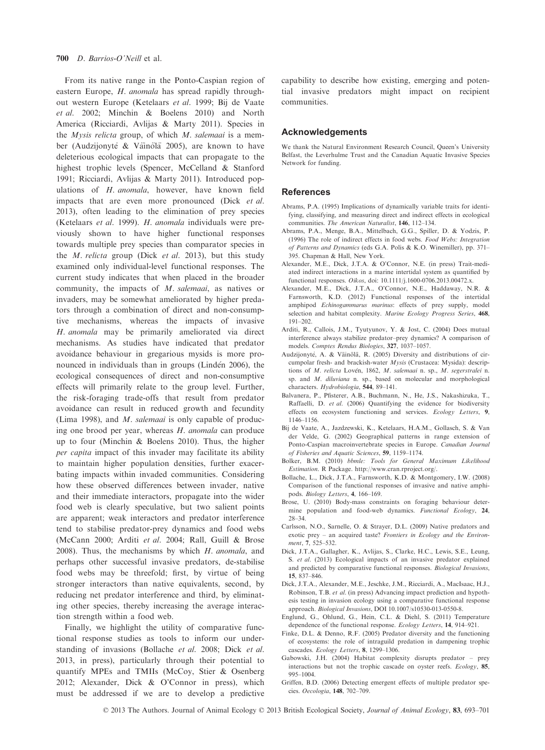From its native range in the Ponto-Caspian region of eastern Europe, H. anomala has spread rapidly throughout western Europe (Ketelaars et al. 1999; Bij de Vaate et al. 2002; Minchin & Boelens 2010) and North America (Ricciardi, Avlijas & Marty 2011). Species in the *Mysis relicta* group, of which  $M$ . *salemaai* is a member (Audzijonyte & Väinölä 2005), are known to have deleterious ecological impacts that can propagate to the highest trophic levels (Spencer, McCelland & Stanford 1991; Ricciardi, Avlijas & Marty 2011). Introduced populations of H. anomala, however, have known field impacts that are even more pronounced (Dick et al. 2013), often leading to the elimination of prey species (Ketelaars et al. 1999). H. anomala individuals were previously shown to have higher functional responses towards multiple prey species than comparator species in the  $M$ . relicta group (Dick et al. 2013), but this study examined only individual-level functional responses. The current study indicates that when placed in the broader community, the impacts of M. salemaai, as natives or invaders, may be somewhat ameliorated by higher predators through a combination of direct and non-consumptive mechanisms, whereas the impacts of invasive H. anomala may be primarily ameliorated via direct mechanisms. As studies have indicated that predator avoidance behaviour in gregarious mysids is more pronounced in individuals than in groups (Lindén 2006), the ecological consequences of direct and non-consumptive effects will primarily relate to the group level. Further, the risk-foraging trade-offs that result from predator avoidance can result in reduced growth and fecundity (Lima 1998), and  $M$ . salemaai is only capable of producing one brood per year, whereas H. anomala can produce up to four (Minchin & Boelens 2010). Thus, the higher per capita impact of this invader may facilitate its ability to maintain higher population densities, further exacerbating impacts within invaded communities. Considering how these observed differences between invader, native and their immediate interactors, propagate into the wider food web is clearly speculative, but two salient points are apparent; weak interactors and predator interference tend to stabilise predator-prey dynamics and food webs (McCann 2000; Arditi et al. 2004; Rall, Guill & Brose 2008). Thus, the mechanisms by which  $H$ . anomala, and perhaps other successful invasive predators, de-stabilise food webs may be threefold; first, by virtue of being stronger interactors than native equivalents, second, by reducing net predator interference and third, by eliminating other species, thereby increasing the average interaction strength within a food web.

Finally, we highlight the utility of comparative functional response studies as tools to inform our understanding of invasions (Bollache et al. 2008; Dick et al. 2013, in press), particularly through their potential to quantify MPEs and TMIIs (McCoy, Stier & Osenberg 2012; Alexander, Dick & O'Connor in press), which must be addressed if we are to develop a predictive

capability to describe how existing, emerging and potential invasive predators might impact on recipient communities.

#### Acknowledgements

We thank the Natural Environment Research Council, Queen's University Belfast, the Leverhulme Trust and the Canadian Aquatic Invasive Species Network for funding.

#### **References**

- Abrams, P.A. (1995) Implications of dynamically variable traits for identifying, classifying, and measuring direct and indirect effects in ecological communities. The American Naturalist, 146, 112–134.
- Abrams, P.A., Menge, B.A., Mittelbach, G.G., Spiller, D. & Yodzis, P. (1996) The role of indirect effects in food webs. Food Webs: Integration of Patterns and Dynamics (eds G.A. Polis & K.O. Winemiller), pp. 371– 395. Chapman & Hall, New York.
- Alexander, M.E., Dick, J.T.A. & O'Connor, N.E. (in press) Trait-mediated indirect interactions in a marine intertidal system as quantified by functional responses. Oikos, doi: 10.1111/j.1600-0706.2013.00472.x.
- Alexander, M.E., Dick, J.T.A., O'Connor, N.E., Haddaway, N.R. & Farnsworth, K.D. (2012) Functional responses of the intertidal amphipod Echinogammarus marinus: effects of prey supply, model selection and habitat complexity. Marine Ecology Progress Series, 468, 191–202.
- Arditi, R., Callois, J.M., Tyutyunov, Y. & Jost, C. (2004) Does mutual interference always stabilize predator–prey dynamics? A comparison of models. Comptes Rendus Biologies, 327, 1037–1057.
- Audzijonyte, A. & Väinölä, R. (2005) Diversity and distributions of circumpolar fresh- and brackish-water Mysis (Crustacea: Mysida): descriptions of M. relicta Lovén, 1862, M. salemaai n. sp., M. segerstralei n. sp. and M. diluviana n. sp., based on molecular and morphological characters. Hydrobiologia, 544, 89-141.
- Balvanera, P., Pfisterer, A.B., Buchmann, N., He, J.S., Nakashizuka, T., Raffaelli, D. et al. (2006) Quantifying the evidence for biodiversity effects on ecosystem functioning and services. Ecology Letters, 9, 1146–1156.
- Bij de Vaate, A., Jazdzewski, K., Ketelaars, H.A.M., Gollasch, S. & Van der Velde, G. (2002) Geographical patterns in range extension of Ponto-Caspian macroinvertebrate species in Europe. Canadian Journal of Fisheries and Aquatic Sciences, 59, 1159-1174.
- of Fisheries and Aquatic Sciences, 59, 1159–1174. Bolker, B.M. (2010) bbmle: Tools for General Maximum Likelihood Estimation. R Package. http://www.cran.rproject.org/.
- Bollache, L., Dick, J.T.A., Farnsworth, K.D. & Montgomery, I.W. (2008) Comparison of the functional responses of invasive and native amphipods. Biology Letters, 4, 166–169.
- Brose, U. (2010) Body-mass constraints on foraging behaviour determine population and food-web dynamics. Functional Ecology, 24, 28–34.
- Carlsson, N.O., Sarnelle, O. & Strayer, D.L. (2009) Native predators and exotic prey – an acquired taste? Frontiers in Ecology and the Environment, 7, 525–532.
- Dick, J.T.A., Gallagher, K., Avlijas, S., Clarke, H.C., Lewis, S.E., Leung, S. et al. (2013) Ecological impacts of an invasive predator explained and predicted by comparative functional responses. Biological Invasions, 15, 837–846.
- Dick, J.T.A., Alexander, M.E., Jeschke, J.M., Ricciardi, A., MacIsaac, H.J., Robinson, T.B. et al. (in press) Advancing impact prediction and hypothesis testing in invasion ecology using a comparative functional response approach. Biological Invasions, DOI 10.1007/s10530-013-0550-8.
- Englund, G., Ohlund, G., Hein, C.L. & Diehl, S. (2011) Temperature dependence of the functional response. Ecology Letters, 14, 914–921.
- Finke, D.L. & Denno, R.F. (2005) Predator diversity and the functioning of ecosystems: the role of intraguild predation in dampening trophic
- cascades. Ecology Letters, 8, 1299-1306.<br>Gabowski, J.H. (2004) Habitat complexity disrupts predator prey interactions but not the trophic cascade on oyster reefs. Ecology, 85, 995–1004.
- Griffen, B.D. (2006) Detecting emergent effects of multiple predator species. Oecologia, 148, 702–709.